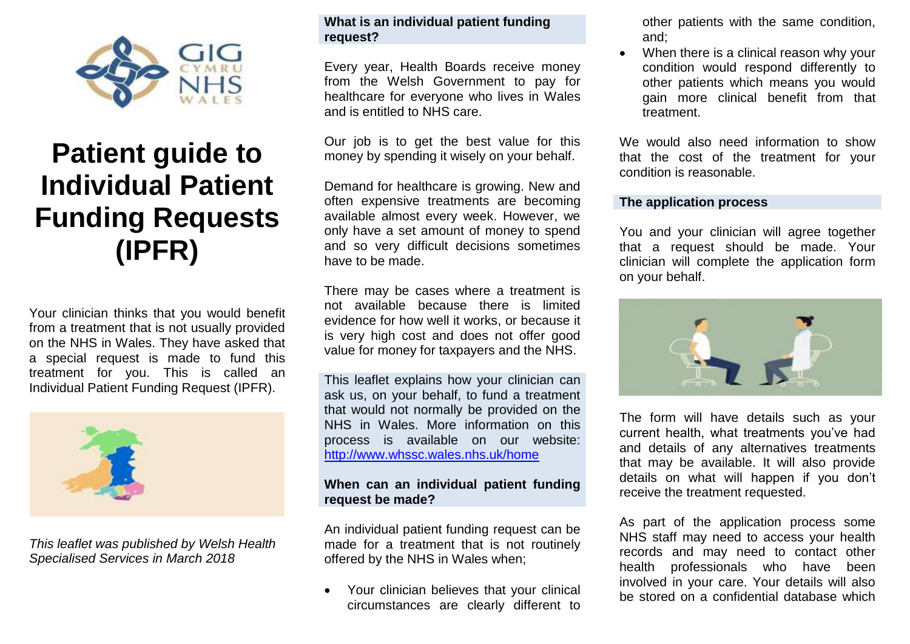

# **Patient guide to Individual Patient Funding Requests (IPFR)**

Your clinician thinks that you would benefit from a treatment that is not usually provided on the NHS in Wales. They have asked that a special request is made to fund this treatment for you. This is called an Individual Patient Funding Request (IPFR).



*This leaflet was published by Welsh Health Specialised Services in March 2018*

# **What is an individual patient funding request?**

Every year, Health Boards receive money from the Welsh Government to pay for healthcare for everyone who lives in Wales and is entitled to NHS care.

Our job is to get the best value for this money by spending it wisely on your behalf.

Demand for healthcare is growing. New and often expensive treatments are becoming available almost every week. However, we only have a set amount of money to spend and so very difficult decisions sometimes have to be made.

There may be cases where a treatment is not available because there is limited evidence for how well it works, or because it is very high cost and does not offer good value for money for taxpayers and the NHS.

This leaflet explains how your clinician can ask us, on your behalf, to fund a treatment that would not normally be provided on the NHS in Wales. More information on this process is available on our website: <http://www.whssc.wales.nhs.uk/home>

# **When can an individual patient funding request be made?**

An individual patient funding request can be made for a treatment that is not routinely offered by the NHS in Wales when;

Your clinician believes that your clinical circumstances are clearly different to

other patients with the same condition, and;

 When there is a clinical reason why your condition would respond differently to other patients which means you would gain more clinical benefit from that treatment.

We would also need information to show that the cost of the treatment for your condition is reasonable.

#### **The application process**

You and your clinician will agree together that a request should be made. Your clinician will complete the application form on your behalf.



The form will have details such as your current health, what treatments you've had and details of any alternatives treatments that may be available. It will also provide details on what will happen if you don't receive the treatment requested.

As part of the application process some NHS staff may need to access your health records and may need to contact other health professionals who have been involved in your care. Your details will also be stored on a confidential database which